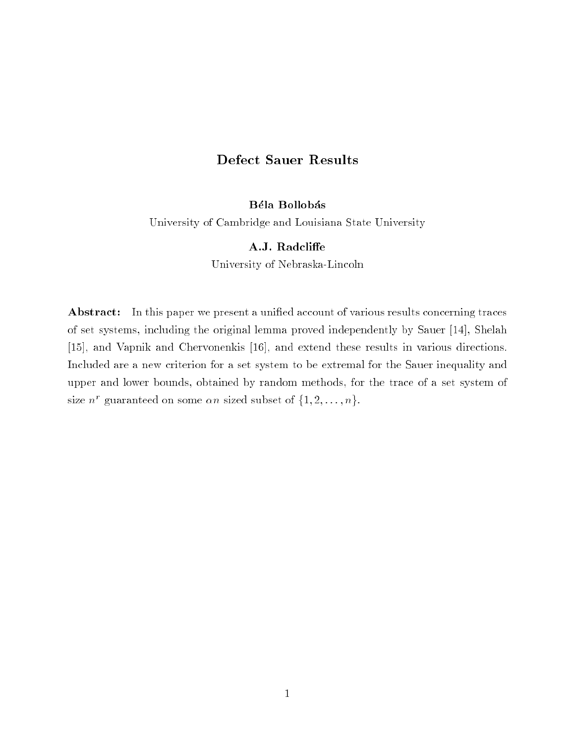# Defect Sauer Results

# Béla Bollobás

University of Cambridge and Louisiana State University

## A.J. Radcliffe

University of Nebraska-Lincoln

Abstract: In this paper we present a unified account of various results concerning traces of set systems, including the original lemma proved independently by Sauer [14], Shelah [15], and Vapnik and Chervonenkis [16], and extend these results in various directions. Included are a new criterion for a set system to be extremal for the Sauer inequality and upper and lower bounds, obtained by random methods, for the trace of a set system of size  $n^r$  guaranteed on some  $\alpha n$  sized subset of  $\{1, 2, \ldots, n\}$ .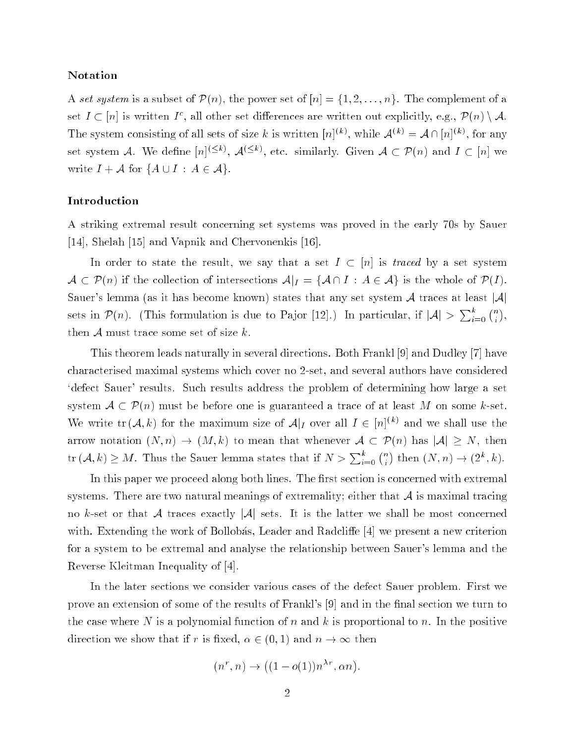### Notation

A set system is a subset of  $\mathcal{P}(n)$ , the power set of  $[n] = \{1, 2, \ldots, n\}$ . The complement of a set  $I \subset [n]$  is written  $I^c$ , all other set differences are written out explicitly, e.g.,  $\mathcal{P}(n) \setminus \mathcal{A}$ . The system consisting of all sets of size k is written  $[n]^{(k)}$ , while  $\mathcal{A}^{(k)} = \mathcal{A} \cap [n]^{(k)}$ , for any set system A. We define  $[n]^{(\leq k)}$ ,  $\mathcal{A}^{(\leq k)}$ , etc. similarly. Given  $\mathcal{A} \subset \mathcal{P}(n)$  and  $I \subset [n]$  we write  $I + \mathcal{A}$  for  $\{A \cup I : A \in \mathcal{A}\}.$ 

# Introduction

A striking extremal result concerning set systems was proved in the early 70s by Sauer [14], Shelah [15] and Vapnik and Chervonenkis [16].

In order to state the result, we say that a set  $I \subset [n]$  is traced by a set system  $\mathcal{A} \subset \mathcal{P}(n)$  if the collection of intersections  $\mathcal{A}|_{I} = \{\mathcal{A} \cap I : A \in \mathcal{A}\}\$ is the whole of  $\mathcal{P}(I)$ . Sauer's lemma (as it has become known) states that any set system  $A$  traces at least  $|A|$ sets in  $\mathcal{P}(n)$ . (This formulation is due to Pajor [12].) In particular, if  $|\mathcal{A}| > \sum_{i=0}^{k} {n \choose i}$ . . then  $A$  must trace some set of size  $k$ .

This theorem leads naturally in several directions. Both Frankl [9] and Dudley [7] have characterised maximal systems which cover no 2-set, and several authors have considered `defect Sauer' results. Such results address the problem of determining how large a set system  $A \subset \mathcal{P}(n)$  must be before one is guaranteed a trace of at least M on some k-set. We write  $\text{tr}(\mathcal{A},k)$  for the maximum size of  $\mathcal{A}|_I$  over all  $I \in [n]^{(k)}$  and we shall use the arrow notation  $(N, n) \to (M, k)$  to mean that whenever  $\mathcal{A} \subset \mathcal{P}(n)$  has  $|\mathcal{A}| \geq N$ , then tr  $(A, k) \geq M$ . Thus the Sauer lemma states that if  $N > \sum_{i=0}^{k} {n \choose i}$ ) then  $(N, n) \rightarrow (2^k, k)$ .

In this paper we proceed along both lines. The first section is concerned with extremal systems. There are two natural meanings of extremality; either that  $\mathcal A$  is maximal tracing no k-set or that A traces exactly |A| sets. It is the latter we shall be most concerned with. Extending the work of Bollobás, Leader and Radcliffe  $|4|$  we present a new criterion for a system to be extremal and analyse the relationship between Sauer's lemma and the Reverse Kleitman Inequality of [4].

In the later sections we consider various cases of the defect Sauer problem. First we prove an extension of some of the results of Frankl's [9] and in the final section we turn to the case where N is a polynomial function of n and k is proportional to n. In the positive direction we show that if r is fixed,  $\alpha \in (0,1)$  and  $n \to \infty$  then

$$
(n^r, n) \rightarrow ((1 - o(1))n^{\lambda r}, \alpha n)
$$

: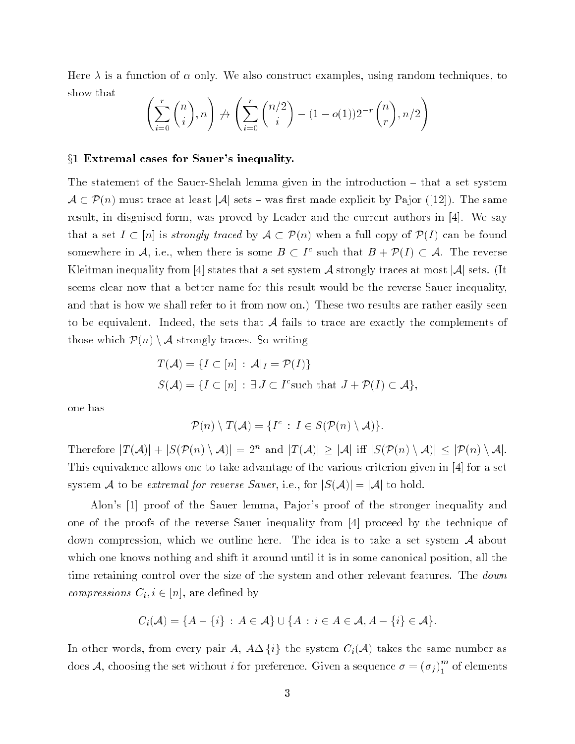Here  $\lambda$  is a function of  $\alpha$  only. We also construct examples, using random techniques, to show that

$$
\left(\sum_{i=0}^r \binom{n}{i}, n\right) \not\to \left(\sum_{i=0}^r \binom{n/2}{i} - (1 - o(1))2^{-r} \binom{n}{r}, n/2\right)
$$

#### $\S1$  Extremal cases for Sauer's inequality.

The statement of the Sauer-Shelah lemma given in the introduction – that a set system  $A \subset \mathcal{P}(n)$  must trace at least |A| sets – was first made explicit by Pajor ([12]). The same result, in disguised form, was proved by Leader and the current authors in [4]. We say that a set  $I \subset [n]$  is *strongly traced* by  $A \subset \mathcal{P}(n)$  when a full copy of  $\mathcal{P}(I)$  can be found somewhere in A, i.e., when there is some  $B \subset I^c$  such that  $B + \mathcal{P}(I) \subset A$ . The reverse Kleitman inequality from [4] states that a set system  $\mathcal A$  strongly traces at most  $|\mathcal A|$  sets. (It seems clear now that a better name for this result would be the reverse Sauer inequality, and that is how we shall refer to it from now on.) These two results are rather easily seen to be equivalent. Indeed, the sets that  $A$  fails to trace are exactly the complements of those which  $\mathcal{P}(n) \setminus \mathcal{A}$  strongly traces. So writing

$$
T(\mathcal{A}) = \{I \subset [n] : \mathcal{A}|_I = \mathcal{P}(I)\}
$$
  

$$
S(\mathcal{A}) = \{I \subset [n] : \exists J \subset I^c \text{ such that } J + \mathcal{P}(I) \subset \mathcal{A}\},
$$

one has

$$
\mathcal{P}(n) \setminus T(\mathcal{A}) = \{I^c : I \in S(\mathcal{P}(n) \setminus \mathcal{A})\}.
$$

Therefore  $|T(A)| + |S(\mathcal{P}(n) \setminus A)| = 2^n$  and  $|T(A)| > |A|$  iff  $|S(\mathcal{P}(n) \setminus A)| \leq |\mathcal{P}(n) \setminus A|$ . This equivalence allows one to take advantage of the various criterion given in [4] for a set system A to be extremal for reverse Sauer, i.e., for  $|S(A)| = |A|$  to hold.

Alon's [1] proof of the Sauer lemma, Pajor's proof of the stronger inequality and one of the proofs of the reverse Sauer inequality from [4] proceed by the technique of down compression, which we outline here. The idea is to take a set system  $A$  about which one knows nothing and shift it around until it is in some canonical position, all the time retaining control over the size of the system and other relevant features. The *down compressions*  $C_i, i \in [n]$ , are defined by

$$
C_i(\mathcal{A}) = \{A - \{i\} : A \in \mathcal{A}\} \cup \{A : i \in A \in \mathcal{A}, A - \{i\} \in \mathcal{A}\}.
$$

In other words, from every pair A,  $A\Delta\{i\}$  the system  $C_i(\mathcal{A})$  takes the same number as does A, choosing the set without *i* for preference. Given a sequence  $\sigma = (\sigma_j)_1^m$  of elements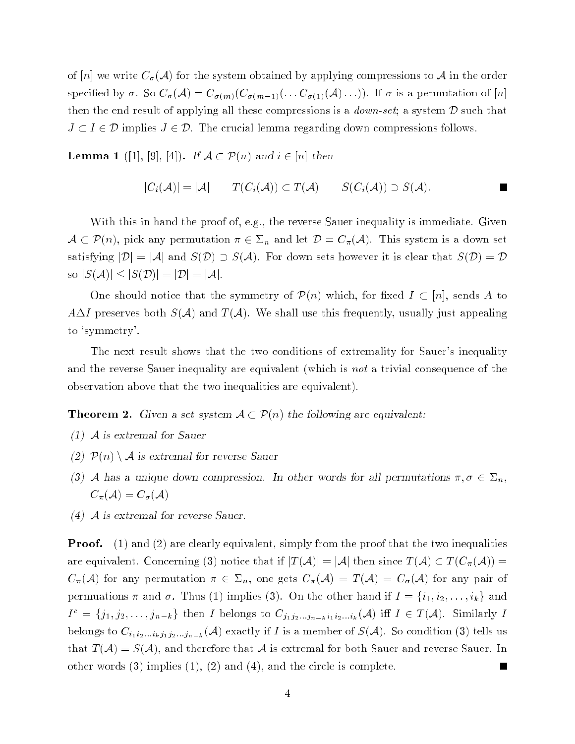of [n] we write  $C_{\sigma}(\mathcal{A})$  for the system obtained by applying compressions to  $\mathcal{A}$  in the order specified by  $\sigma$ . So  $C_{\sigma}(\mathcal{A}) = C_{\sigma(m)}(C_{\sigma(m-1)}(... C_{\sigma(1)}(\mathcal{A})...)$ . If  $\sigma$  is a permutation of [n] then the end result of applying all these compressions is a *down-set*; a system  $D$  such that  $J \subset I \in \mathcal{D}$  implies  $J \in \mathcal{D}$ . The crucial lemma regarding down compressions follows.

**Lemma 1** ([1], [9], [4]). If  $A \subset \mathcal{P}(n)$  and  $i \in [n]$  then

$$
|C_i(\mathcal{A})| = |\mathcal{A}| \qquad T(C_i(\mathcal{A})) \subset T(\mathcal{A}) \qquad S(C_i(\mathcal{A})) \supset S(\mathcal{A}).
$$

With this in hand the proof of, e.g., the reverse Sauer inequality is immediate. Given  $A \subset \mathcal{P}(n)$ , pick any permutation  $\pi \in \Sigma_n$  and let  $\mathcal{D} = C_{\pi}(\mathcal{A})$ . This system is a down set satisfying  $|\mathcal{D}| = |\mathcal{A}|$  and  $S(\mathcal{D}) \supseteq S(\mathcal{A})$ . For down sets however it is clear that  $S(\mathcal{D}) = \mathcal{D}$ so  $|S(A)| \leq |S(D)| = |D| = |A|$ .

One should notice that the symmetry of  $\mathcal{P}(n)$  which, for fixed  $I \subset [n]$ , sends A to  $A\Delta I$  preserves both  $S(\mathcal{A})$  and  $T(\mathcal{A})$ . We shall use this frequently, usually just appealing to `symmetry'.

The next result shows that the two conditions of extremality for Sauer's inequality and the reverse Sauer inequality are equivalent (which is not a trivial consequence of the observation above that the two inequalities are equivalent).

**Theorem 2.** Given a set system  $A \subset \mathcal{P}(n)$  the following are equivalent:

- (1) <sup>A</sup> is extremal for Sauer
- (2)  $P(n) \setminus A$  is extremal for reverse Sauer
- (3) A has a unique down compression. In other words for all permutations  $\pi, \sigma \in \Sigma_n$ ,  $C_{\pi}(\mathcal{A}) = C_{\sigma}(\mathcal{A})$
- (4) <sup>A</sup> is extremal for reverse Sauer.

**Proof.** (1) and (2) are clearly equivalent, simply from the proof that the two inequalities are equivalent. Concerning (3) notice that if  $|T(A)| = |A|$  then since  $T(A) \subset T(C_{\pi}(A)) =$  $C_{\pi}(\mathcal{A})$  for any permutation  $\pi \in \Sigma_n$ , one gets  $C_{\pi}(\mathcal{A}) = T(\mathcal{A}) = C_{\sigma}(\mathcal{A})$  for any pair of permuations  $\pi$  and  $\sigma$ . Thus (1) implies (3). On the other hand if  $I = \{i_1, i_2, \ldots, i_k\}$  and  $I^c = \{j_1, j_2, \ldots, j_{n-k}\}\$  then I belongs to  $C_{j_1 j_2 \ldots j_{n-k} i_1 i_2 \ldots i_k}(\mathcal{A})$  iff  $I \in T(\mathcal{A})$ . Similarly I belongs to  $C_{i_1i_2...i_kj_1j_2...j_{n-k}}(\mathcal{A})$  exactly if I is a member of  $S(\mathcal{A})$ . So condition (3) tells us that  $T(A) = S(A)$ , and therefore that A is extremal for both Sauer and reverse Sauer. In other words (3) implies (1), (2) and (4), and the circle is complete.  $\blacksquare$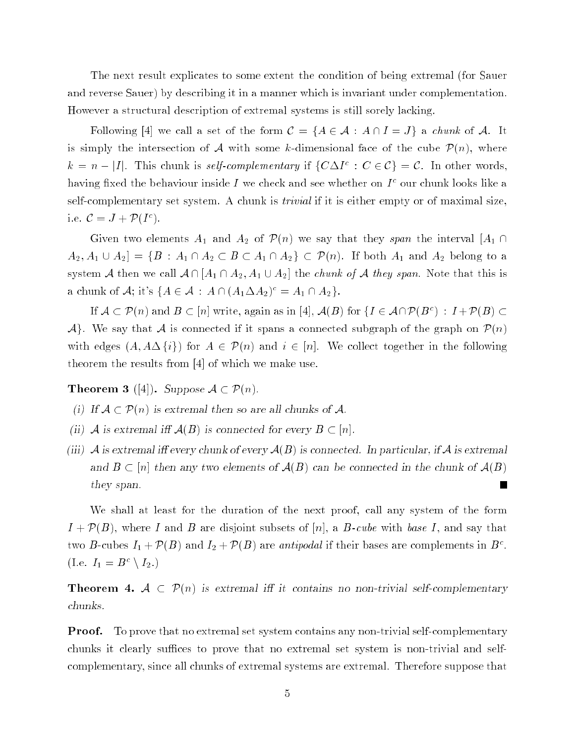The next result explicates to some extent the condition of being extremal (for Sauer and reverse Sauer) by describing it in a manner which is invariant under complementation. However a structural description of extremal systems is still sorely lacking.

Following [4] we call a set of the form  $\mathcal{C} = \{A \in \mathcal{A} : A \cap I = J\}$  a *chunk* of A. It is simply the intersection of A with some k-dimensional face of the cube  $\mathcal{P}(n)$ , where  $k = n - |I|$ . This chunk is self-complementary if  $\{C\Delta I^{c} : C \in \mathcal{C}\} = \mathcal{C}$ . In other words, having fixed the behaviour inside I we check and see whether on  $I<sup>c</sup>$  our chunk looks like a self-complementary set system. A chunk is trivial if it is either empty or of maximal size, i.e.  $\mathcal{C}=J+\mathcal{P}(I^c)$ .

Given two elements  $A_1$  and  $A_2$  of  $\mathcal{P}(n)$  we say that they span the interval  $|A_1 \cap$  $A_2, A_1 \cup A_2$  =  $\{B : A_1 \cap A_2 \subset B \subset A_1 \cap A_2\} \subset \mathcal{P}(n)$ . If both  $A_1$  and  $A_2$  belong to a system A then we call  $A \cap [A_1 \cap A_2, A_1 \cup A_2]$  the *chunk of* A they span. Note that this is a chunk of  $\mathcal{A}$ ; it's  $\{A \in \mathcal{A} : A \cap (A_1 \Delta A_2)^c = A_1 \cap A_2\}.$ 

If  $A \subset \mathcal{P}(n)$  and  $B \subset |n|$  write, again as in [4],  $\mathcal{A}(B)$  for  $\{I \in \mathcal{A}\cap \mathcal{P}(B^c) \,:\, I+\mathcal{P}(B) \subset$  $\mathcal{A}$ . We say that A is connected if it spans a connected subgraph of the graph on  $\mathcal{P}(n)$ with edges  $(A, A \Delta \{i\})$  for  $A \in \mathcal{P}(n)$  and  $i \in [n]$ . We collect together in the following theorem the results from [4] of which we make use.

**Theorem 3** ([4]). Suppose  $A \subset \mathcal{P}(n)$ .

- (1) If  $A \subset P(n)$  is extremal then so are all chunks of A.
- (ii) A is extremal if  $A(B)$  is connected for every  $B \subset [n]$ .
- (iii) A is extremal iff every chunk of every  $A(B)$  is connected. In particular, if A is extremal and  $B \subset [n]$  then any two elements of  $A(B)$  can be connected in the chunk of  $A(B)$  $\blacksquare$ they span.

We shall at least for the duration of the next proof, call any system of the form  $I + \mathcal{P}(B)$ , where I and B are disjoint subsets of [n], a B-cube with base I, and say that two B-cubes  $I_1 + \mathcal{P}(B)$  and  $I_2 + \mathcal{P}(B)$  are *antipodal* if their bases are complements in  $B^c$ . (I.e.  $I_1 = B^c \setminus I_2$ .)

**Theorem 4.**  $\mathcal{A} \subset \mathcal{P}(n)$  is extremal iff it contains no non-trivial self-complementary chunks.

**Proof.** To prove that no extremal set system contains any non-trivial self-complementary chunks it clearly suffices to prove that no extremal set system is non-trivial and selfcomplementary, since all chunks of extremal systems are extremal. Therefore suppose that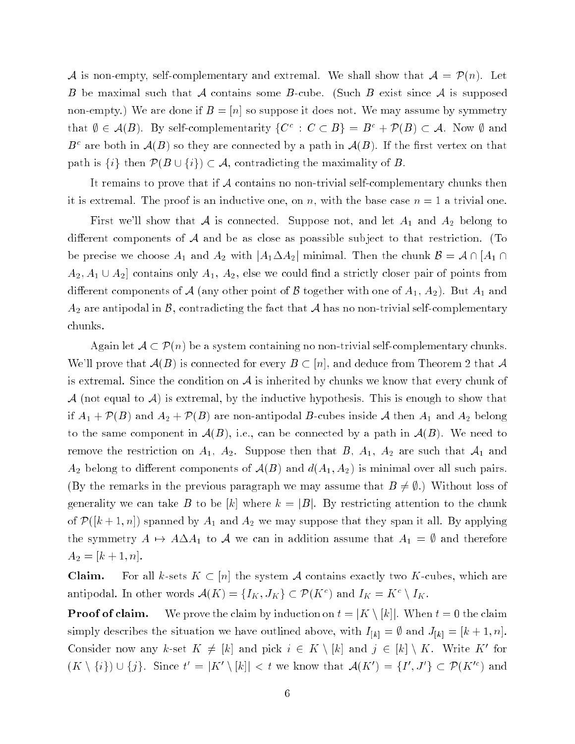A is non-empty, self-complementary and extremal. We shall show that  $A = \mathcal{P}(n)$ . Let B be maximal such that A contains some B-cube. (Such B exist since A is supposed non-empty.) We are done if  $B = |n|$  so suppose it does not. We may assume by symmetry that  $\emptyset \in \mathcal{A}(B)$ . By self-complementarity  $\{C^c : C \subset B\} = B^c + \mathcal{P}(B) \subset \mathcal{A}$ . Now  $\emptyset$  and  $B<sup>c</sup>$  are both in  $A(B)$  so they are connected by a path in  $A(B)$ . If the first vertex on that path is  $\{i\}$  then  $\mathcal{P}(B \cup \{i\}) \subset \mathcal{A}$ , contradicting the maximality of B.

It remains to prove that if  $\mathcal A$  contains no non-trivial self-complementary chunks then it is extremal. The proof is an inductive one, on n, with the base case  $n = 1$  a trivial one.

First we'll show that A is connected. Suppose not, and let  $A_1$  and  $A_2$  belong to different components of  $A$  and be as close as poassible subject to that restriction. (To be precise we choose  $A_1$  and  $A_2$  with  $|A_1 \Delta A_2|$  minimal. Then the chunk  $\mathcal{B} = \mathcal{A} \cap [A_1 \cap$  $A_2, A_1 \cup A_2$  contains only  $A_1, A_2$ , else we could find a strictly closer pair of points from different components of A (any other point of B together with one of  $A_1, A_2$ ). But  $A_1$  and  $A_2$  are antipodal in B, contradicting the fact that A has no non-trivial self-complementary chunks.

Again let  $\mathcal{A} \subset \mathcal{P}(n)$  be a system containing no non-trivial self-complementary chunks. We'll prove that  $\mathcal{A}(B)$  is connected for every  $B \subset [n]$ , and deduce from Theorem 2 that  $\mathcal{A}$ is extremal. Since the condition on  $\mathcal A$  is inherited by chunks we know that every chunk of A (not equal to A) is extremal, by the inductive hypothesis. This is enough to show that if  $A_1 + \mathcal{P}(B)$  and  $A_2 + \mathcal{P}(B)$  are non-antipodal B-cubes inside A then  $A_1$  and  $A_2$  belong to the same component in  $A(B)$ , i.e., can be connected by a path in  $A(B)$ . We need to remove the restriction on  $A_1$ ,  $A_2$ . Suppose then that  $B_1$ ,  $A_1$ ,  $A_2$  are such that  $A_1$  and  $A_2$  belong to different components of  $\mathcal{A}(B)$  and  $d(A_1, A_2)$  is minimal over all such pairs. (By the remarks in the previous paragraph we may assume that  $B \neq \emptyset$ .) Without loss of generality we can take B to be [k] where  $k = |B|$ . By restricting attention to the chunk of  $\mathcal{P}([k+1,n])$  spanned by  $A_1$  and  $A_2$  we may suppose that they span it all. By applying the symmetry  $A \mapsto A \Delta A_1$  to A we can in addition assume that  $A_1 = \emptyset$  and therefore  $A_2 = [k+1, n].$ 

**Claim.** For all k-sets  $K \subset [n]$  the system A contains exactly two K-cubes, which are antipodal. In other words  $\mathcal{A}(K) = \{I_K, J_K\} \subset \mathcal{P}(K^c)$  and  $I_K = K^c \setminus I_K$ .

**Proof of claim.** We prove the claim by induction on  $t = |K \setminus [k]|$ . When  $t = 0$  the claim simply describes the situation we have outlined above, with  $I_{[k]} = \emptyset$  and  $J_{[k]} = [k + 1, n]$ . Consider now any k-set  $K \neq [k]$  and pick  $i \in K \setminus [k]$  and  $j \in [k] \setminus K$ . Write K' for  $(K \setminus \{i\}) \cup \{j\}.$  Since  $t' = |K' \setminus [k]| < t$  we know that  $\mathcal{A}(K') = \{I', J'\} \subset \mathcal{P}(K'^c)$  and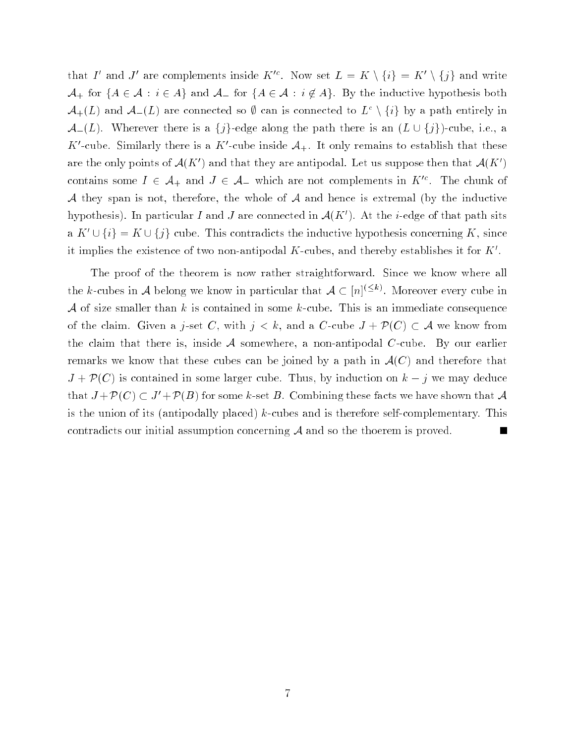that I' and J' are complements inside  $K^c$ . Now set  $L = K \setminus \{i\} = K' \setminus \{j\}$  and write  $A_+$  for  ${A \in \mathcal{A} : i \in A}$  and  $A_-$  for  ${A \in \mathcal{A} : i \notin A}$ . By the inductive hypothesis both  $\mathcal{A}_{+}(L)$  and  $\mathcal{A}_{-}(L)$  are connected so  $\emptyset$  can is connected to  $L^{c}\setminus\{i\}$  by a path entirely in  $\mathcal{A}_{-}(L)$ . Wherever there is a  $\{j\}$ -edge along the path there is an  $(L \cup \{j\})$ -cube, i.e., a K'-cube. Similarly there is a K'-cube inside  $A_{+}$ . It only remains to establish that these are the only points of  $\mathcal{A}(K')$  and that they are antipodal. Let us suppose then that  $\mathcal{A}(K')$ contains some  $I \in \mathcal{A}_+$  and  $J \in \mathcal{A}_-$  which are not complements in  $K^{\prime c}$ . The chunk of  $A$  they span is not, therefore, the whole of  $A$  and hence is extremal (by the inductive hypothesis). In particular I and J are connected in  $\mathcal{A}(K')$ . At the *i*-edge of that path sits  $\{a \in K' \cup \{i\} = K \cup \{j\} \}$  cube. This contradicts the inductive hypothesis concerning K, since it implies the existence of two non-antipodal K-cubes, and thereby establishes it for  $K'$ .

The proof of the theorem is now rather straightforward. Since we know where all the k-cubes in A belong we know in particular that  $A \subset [n]^{(\leq k)}$ . Moreover every cube in A of size smaller than k is contained in some k-cube. This is an immediate consequence of the claim. Given a j-set C, with  $j < k$ , and a C-cube  $J + \mathcal{P}(C) \subset \mathcal{A}$  we know from the claim that there is, inside  $\mathcal A$  somewhere, a non-antipodal C-cube. By our earlier remarks we know that these cubes can be joined by a path in  $\mathcal{A}(C)$  and therefore that  $J + \mathcal{P}(C)$  is contained in some larger cube. Thus, by induction on  $k - j$  we may deduce that  $J + P(C) \subset J' + P(B)$  for some k-set B. Combining these facts we have shown that A is the union of its (antipodally placed)  $k$ -cubes and is therefore self-complementary. This contradicts our initial assumption concerning <sup>A</sup> and so the thoerem is proved. L.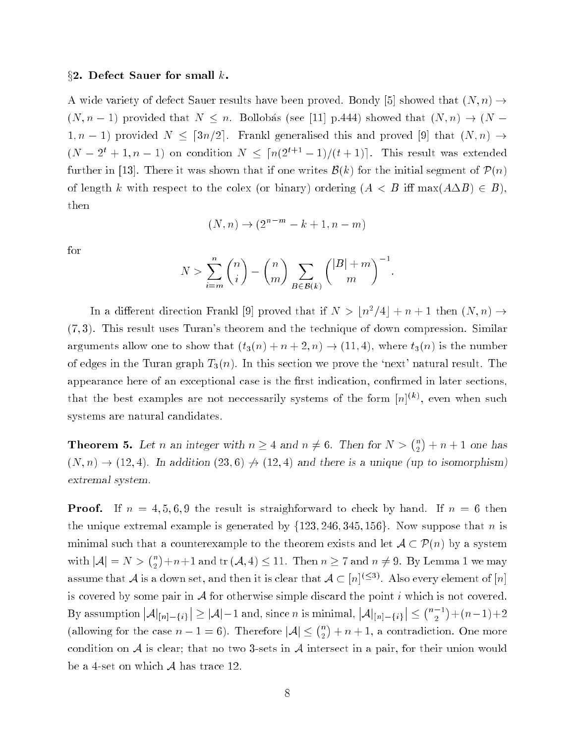#### $\S 2.$  Defect Sauer for small k.

A wide variety of defect Sauer results have been proved. Bondy [5] showed that  $(N, n) \rightarrow$  $(N, n - 1)$  provided that  $N \leq n$ . Bollobás (see [11] p.444) showed that  $(N, n) \rightarrow (N - 1)$  $1, n - 1$ ) provided  $N \leq \lceil 3n/2 \rceil$ . Frankl generalised this and proved [9] that  $(N, n) \rightarrow$  $(N-2^t+1,n-1)$  on condition  $N \leq \lceil n(2^{t+1}-1)/(t+1) \rceil$ . This result was extended further in [13]. There it was shown that if one writes  $\mathcal{B}(k)$  for the initial segment of  $\mathcal{P}(n)$ of length k with respect to the colex (or binary) ordering  $(A \leq B$  iff  $\max(A \Delta B) \in B)$ , then

$$
(N, n) \to (2^{n-m} - k + 1, n - m)
$$

for

$$
N > \sum_{i=m}^{n} {n \choose i} - {n \choose m} \sum_{B \in \mathcal{B}(k)} { |B| + m \choose m}^{-1}
$$

:

In a different direction Frankl [9] proved that if  $N > \lfloor n^2/4 \rfloor + n + 1$  then  $(N, n) \rightarrow$  $(7, 3)$ . This result uses Turan's theorem and the technique of down compression. Similar arguments allow one to show that  $(t_3(n) + n + 2, n) \rightarrow (11, 4)$ , where  $t_3(n)$  is the number of edges in the Turan graph  $T_3(n)$ . In this section we prove the 'next' natural result. The appearance here of an exceptional case is the first indication, confirmed in later sections. that the best examples are not neccessarily systems of the form  $[n]^{(k)}$ , even when such systems are natural candidates.

**Theorem 5.** Let n an integer with  $n \geq 4$  and  $n \neq 6$ . Then for  $N > \binom{n}{2} + n + 1$  one has  $(N, n) \rightarrow (12, 4)$ . In addition  $(23, 6) \not\rightarrow (12, 4)$  and there is a unique (up to isomorphism) extremal system.

**Proof.** If  $n = 4, 5, 6, 9$  the result is straighforward to check by hand. If  $n = 6$  then the unique extremal example is generated by  $\{123, 246, 345, 156\}$ . Now suppose that n is minimal such that a counterexample to the theorem exists and let  $A \subset \mathcal{P}(n)$  by a system with  $|\mathcal{A}| = N > \binom{n}{2}$  $\overline{\phantom{a}}$  $)+n+1$  and tr  $(A, 4) \le 11$ . Then  $n \ge 7$  and  $n \ne 9$ . By Lemma 1 we may assume that  ${\cal A}$  is a down set, and then it is clear that  ${\cal A} \subset [n\cap \Xi^\times]$  . Also every element of  $[n]$ is covered by some pair in  $A$  for otherwise simple discard the point i which is not covered. By assumption  $|\mathcal{A}|_{[n]-\{i\}}| \geq |\mathcal{A}|-1$  and, since n is minimal,  $|\mathcal{A}|_{[n]-\{i\}}| \leq$  $(n-1)$  $)+(n-1)+2$ (allowing for the case  $n-1=6$ ). Therefore  $|\mathcal{A}| \leq {n \choose 2}$  $+ n + 1$ , a contradiction. One more condition on  $A$  is clear; that no two 3-sets in  $A$  intersect in a pair, for their union would be a 4-set on which  $\mathcal A$  has trace 12.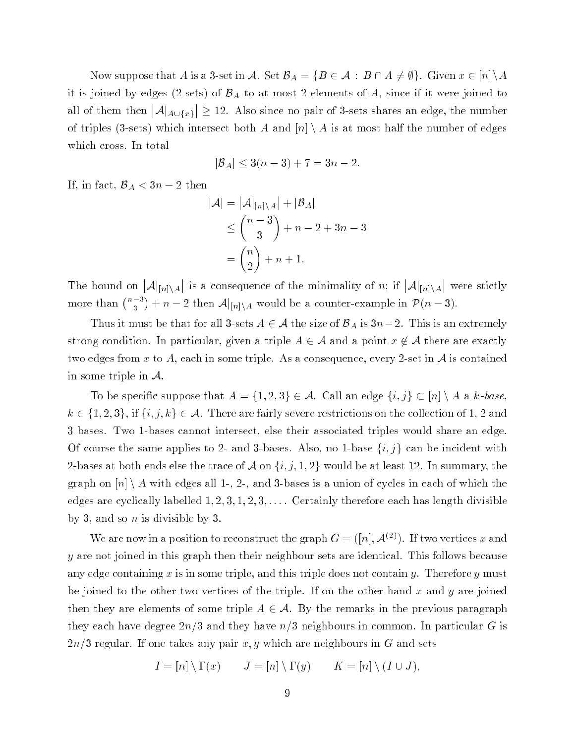Now suppose that A is a 3-set in A. Set  $\mathcal{B}_A = \{B \in \mathcal{A} : B \cap A \neq \emptyset\}$ . Given  $x \in [n] \backslash A$ it is joined by edges (2-sets) of  $\mathcal{B}_A$  to at most 2 elements of A, since if it were joined to  $|A|_{A \cup \{x\}}| \geq 12$ . Also since no pair of 3-sets shares an edge, the number of triples (3-sets) which intersect both A and  $[n] \setminus A$  is at most half the number of edges which cross. In total

$$
|\mathcal{B}_A| \le 3(n-3) + 7 = 3n - 2.
$$

If, in fact,  $\mathcal{B}_A < 3n - 2$  then

$$
|\mathcal{A}| = |\mathcal{A}|_{[n] \setminus A}| + |\mathcal{B}_A|
$$
  
\n
$$
\le {n-3 \choose 3} + n - 2 + 3n - 3
$$
  
\n
$$
= {n \choose 2} + n + 1.
$$

 $|\mathcal{A}|_{[n]\setminus A}|$  is a consequence of the minimality of n; if  $|\mathcal{A}|_{[n]\setminus A}|$  were stictly more than  $\binom{n-3}{2}$  $\overline{\phantom{a}}$  $+ n - 2$  then  $\mathcal{A}|_{[n] \setminus A}$  would be a counter-example in  $\mathcal{P}(n-3)$ .

Thus it must be that for all 3-sets  $A \in \mathcal{A}$  the size of  $\mathcal{B}_A$  is  $3n-2$ . This is an extremely strong condition. In particular, given a triple  $A \in \mathcal{A}$  and a point  $x \notin \mathcal{A}$  there are exactly two edges from x to A, each in some triple. As a consequence, every 2-set in  $\mathcal A$  is contained in some triple in  $\mathcal{A}$ .

To be specific suppose that  $A = \{1,2,3\} \in \mathcal{A}$ . Call an edge  $\{i, j\} \subset [n] \setminus A$  a k-base,  $k \in \{1, 2, 3\}, \text{ if } \{i, j, k\} \in \mathcal{A}.$  There are fairly severe restrictions on the collection of 1, 2 and 3 bases. Two 1-bases cannot intersect, else their associated triples would share an edge. Of course the same applies to 2- and 3-bases. Also, no 1-base  $\{i, j\}$  can be incident with 2-bases at both ends else the trace of A on  $\{i, j, 1, 2\}$  would be at least 12. In summary, the graph on  $[n] \setminus A$  with edges all 1-, 2-, and 3-bases is a union of cycles in each of which the edges are cyclically labelled  $1, 2, 3, 1, 2, 3, \ldots$ . Certainly therefore each has length divisible by 3, and so n is divisible by 3.

We are now in a position to reconstruct the graph  $G = ([n], \mathcal{A}^{(2)})$ . If two vertices x and y are not joined in this graph then their neighbour sets are identical. This follows because any edge containing x is in some triple, and this triple does not contain y. Therefore y must be joined to the other two vertices of the triple. If on the other hand x and y are joined then they are elements of some triple  $A \in \mathcal{A}$ . By the remarks in the previous paragraph they each have degree  $2n/3$  and they have  $n/3$  neighbours in common. In particular G is  $2n/3$  regular. If one takes any pair x, y which are neighbours in G and sets

$$
I = [n] \setminus \Gamma(x) \qquad J = [n] \setminus \Gamma(y) \qquad K = [n] \setminus (I \cup J),
$$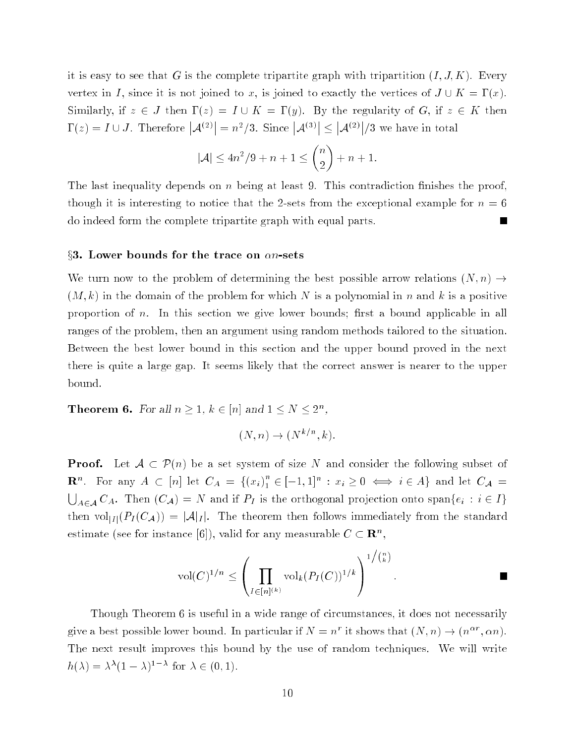it is easy to see that G is the complete tripartite graph with tripartition  $(I, J, K)$ . Every vertex in I, since it is not joined to x, is joined to exactly the vertices of  $J \cup K = \Gamma(x)$ . Similarly, if  $z \in J$  then  $\Gamma(z) = I \cup K = \Gamma(y)$ . By the regularity of G, if  $z \in K$  then  $\Gamma(z) = I \cup J$ . Therefore  $|\mathcal{A}^{(2)}| = n^2/3$ . Since  $|\mathcal{A}^{(3)}| \leq$  $|\mathcal{A}^{(2)}|/3$  we have in total

$$
|\mathcal{A}| \le 4n^2/9 + n + 1 \le \binom{n}{2} + n + 1.
$$

The last inequality depends on  $n$  being at least 9. This contradiction finishes the proof, though it is interesting to notice that the 2-sets from the exceptional example for  $n = 6$ do indeed form the complete tripartite graph with equal parts.  $\blacksquare$ 

#### $\S3.$  Lower bounds for the trace on  $\alpha n\text{-sets}$

We turn now to the problem of determining the best possible arrow relations  $(N, n) \rightarrow$  $(M, k)$  in the domain of the problem for which N is a polynomial in n and k is a positive proportion of  $n$ . In this section we give lower bounds; first a bound applicable in all ranges of the problem, then an argument using random methods tailored to the situation. Between the best lower bound in this section and the upper bound proved in the next there is quite a large gap. It seems likely that the correct answer is nearer to the upper bound.

**Theorem 6.** For all  $n \geq 1, k \in [n]$  and  $1 \leq N \leq 2^n$ ,

$$
(N,n) \to (N^{k/n},k).
$$

**Proof.** Let  $A \subset \mathcal{P}(n)$  be a set system of size N and consider the following subset of  $\mathbf{R}^n$ . For any  $A \subset [n]$  let  $C_A = \{(x_i)_1^n\}$  $i = [i-1, 1]^n : x_i \geq 0 \iff i \in A$  and let  $C_{\mathcal{A}} =$  $\bigcup_{A \in \mathcal{A}} C_A$ . Then  $(C_{\mathcal{A}}) = N$  and if  $P_I$  is the orthogonal projection onto span $\{e_i : i \in I\}$ then  $vol_{|I|}(P_I(C_{\mathcal{A}})) = |\mathcal{A}|_I$ . The theorem then follows immediately from the standard estimate (see for instance [6]), valid for any measurable  $C \subset \mathbb{R}^n$ ,

$$
\mathrm{vol}(C)^{1/n} \leq \left(\prod_{I \in [n]^{(k)}} \mathrm{vol}_k(P_I(C))^{1/k}\right)^{1/(n)}.
$$

Though Theorem 6 is useful in a wide range of circumstances, it does not necessarily give a best possible lower bound. In particular if  $N = n^r$  it shows that  $(N, n) \to (n^{\alpha r}, \alpha n)$ . The next result improves this bound by the use of random techniques. We will write  $h(\lambda) = \lambda^{\lambda} (1 - \lambda)^{1 - \lambda}$  for  $\lambda \in (0, 1)$ .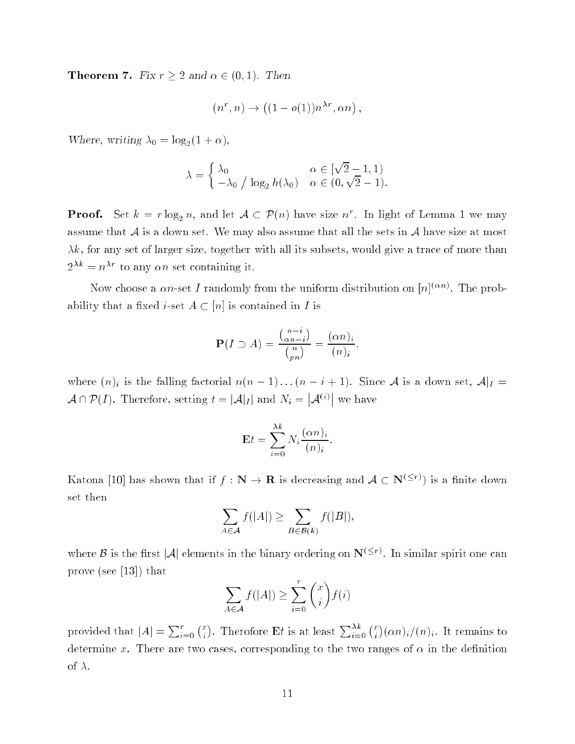**Theorem 7.** Fix  $r \geq 2$  and  $\alpha \in (0, 1)$ . Then

$$
(n^r, n) \to ((1 - o(1))n^{\lambda r}, \alpha n)
$$

;

:

Where, writing  $\lambda_0 = \log_2(1 + \alpha)$ ,

$$
\lambda = \begin{cases} \lambda_0 & \alpha \in [\sqrt{2} - 1, 1) \\ -\lambda_0 / \log_2 h(\lambda_0) & \alpha \in (0, \sqrt{2} - 1). \end{cases}
$$

**Proof.** Set  $k = r \log_2 n$ , and let  $\mathcal{A} \subset \mathcal{P}(n)$  have size  $n^r$ . In light of Lemma 1 we may assume that  $A$  is a down set. We may also assume that all the sets in  $A$  have size at most  $\lambda k$ , for any set of larger size, together with all its subsets, would give a trace of more than  $2^{\lambda k} = n^{\lambda r}$  to any  $\alpha n$  set containing it.

Now choose a  $\alpha n$ -set I randomly from the uniform distribution on  $|n|^{(\alpha n)}$ . The probability that a fixed *i*-set  $A \subset [n]$  is contained in *I* is

$$
\mathbf{P}(I \supset A) = \frac{\binom{n-i}{\alpha n - i}}{\binom{n}{p n}} = \frac{(\alpha n)_i}{(n)_i}
$$

where  $(n)_i$  is the falling factorial  $n(n - 1)...(n - i + 1)$ . Since A is a down set,  $\mathcal{A}|_I =$  $\mathcal{A} \cap \mathcal{P}(I)$ . Therefore, setting  $t = |\mathcal{A}|_I$  and  $N_i = |\mathcal{A}^{(i)}|$  we have

$$
\mathbf{E}t = \sum_{i=0}^{\lambda k} N_i \frac{(\alpha n)_i}{(n)_i}.
$$

Katona [10] has shown that if  $f: \mathbb{N} \to \mathbb{R}$  is decreasing and  $\mathcal{A} \subset \mathbb{N}^{(\leq r)}$  is a finite down set then

$$
\sum_{A \in \mathcal{A}} f(|A|) \ge \sum_{B \in \mathcal{B}(k)} f(|B|),
$$

where  $\beta$  is the first  $|\mathcal{A}|$  elements in the binary ordering on  $N^{(\leq r)}$ . In similar spirit one can prove (see [13]) that

$$
\sum_{A \in \mathcal{A}} f(|A|) \ge \sum_{i=0}^{r} \binom{x}{i} f(i)
$$

provided that  $|A| = \sum_{i=0}^{r} {x \choose i}$ ). Therefore Et is at least  $\sum_{i=0}^{\lambda k} {x \choose i}$  $(\alpha n)_i/(n)_i$ . It remains to determine x. There are two cases, corresponding to the two ranges of  $\alpha$  in the definition of  $\lambda$ .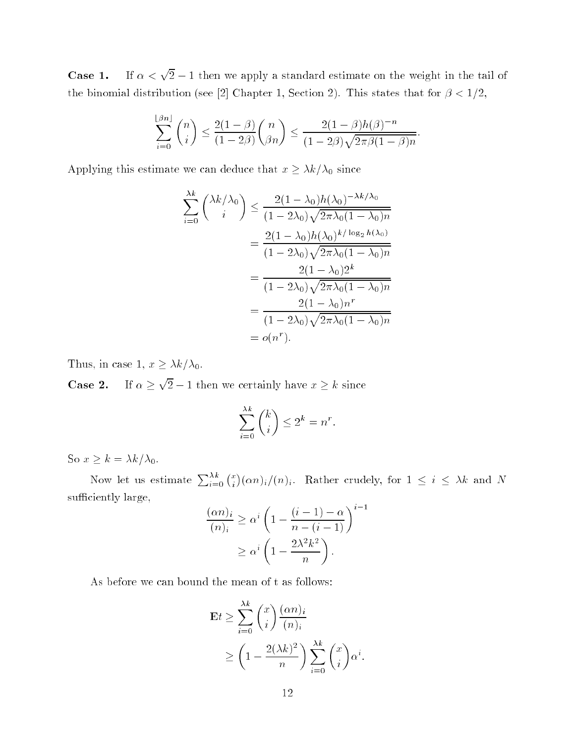**Case 1.** If  $\alpha < \sqrt{2} - 1$  then we apply a standard estimate on the weight in the tail of the binomial distribution (see [2] Chapter 1, Section 2). This states that for  $\beta < 1/2$ ,

$$
\sum_{i=0}^{\lfloor \beta n \rfloor} \binom{n}{i} \le \frac{2(1-\beta)}{(1-2\beta)} \binom{n}{\beta n} \le \frac{2(1-\beta)h(\beta)^{-n}}{(1-2\beta)\sqrt{2\pi\beta(1-\beta)n}}.
$$

Applying this estimate we can deduce that  $x \geq \lambda k/\lambda_0$  since

$$
\sum_{i=0}^{\lambda k} {\lambda k/\lambda_0 \choose i} \le \frac{2(1-\lambda_0)h(\lambda_0)^{-\lambda k/\lambda_0}}{(1-2\lambda_0)\sqrt{2\pi\lambda_0(1-\lambda_0)n}}
$$
  
= 
$$
\frac{2(1-\lambda_0)h(\lambda_0)^{k/\log_2 h(\lambda_0)}}{(1-2\lambda_0)\sqrt{2\pi\lambda_0(1-\lambda_0)n}}
$$
  
= 
$$
\frac{2(1-\lambda_0)2^k}{(1-2\lambda_0)\sqrt{2\pi\lambda_0(1-\lambda_0)n}}
$$
  
= 
$$
\frac{2(1-\lambda_0)n^r}{(1-2\lambda_0)\sqrt{2\pi\lambda_0(1-\lambda_0)n}}
$$
  
= 
$$
o(n^r).
$$

Thus, in case 1,  $x \geq \lambda k/\lambda_0$ .

Case 2.  $\sqrt{2} - 1$  then we certainly have  $x \geq k$  since

$$
\sum_{i=0}^{\lambda k} \binom{k}{i} \le 2^k = n^r.
$$

So  $x \ge k = \lambda k / \lambda_0$ .

Now let us estimate  $\sum_{i=0}^{\lambda k} {x \choose i}$  $(can)_i/(n)_i$ . Rather crudely, for  $1 \leq i \leq \lambda k$  and N sufficiently large,

$$
\frac{(\alpha n)_i}{(n)_i} \ge \alpha^i \left( 1 - \frac{(i-1) - \alpha}{n - (i-1)} \right)^{i-1}
$$

$$
\ge \alpha^i \left( 1 - \frac{2\lambda^2 k^2}{n} \right).
$$

As before we can bound the mean of t as follows:

$$
\mathbf{E}t \ge \sum_{i=0}^{\lambda k} \binom{x}{i} \frac{(\alpha n)_i}{(n)_i}
$$
  
 
$$
\ge \left(1 - \frac{2(\lambda k)^2}{n}\right) \sum_{i=0}^{\lambda k} \binom{x}{i} \alpha^i.
$$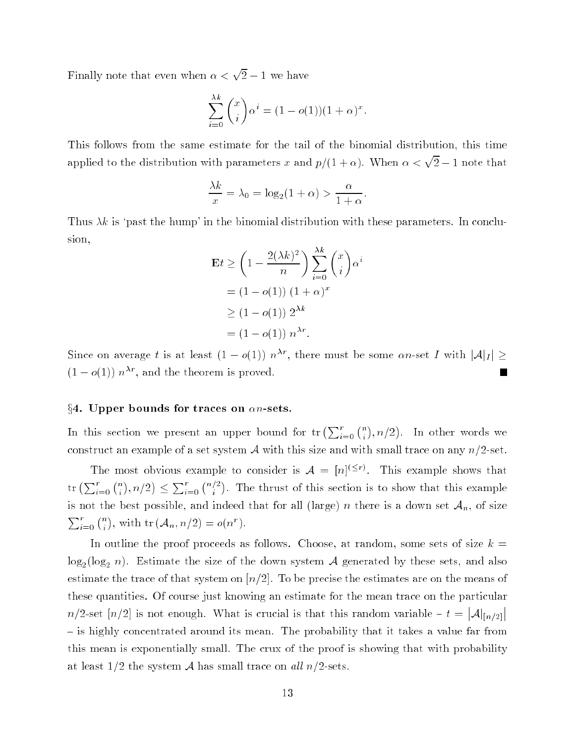Finally note that even when  $\alpha < \sqrt{2} - 1$  we have

$$
\sum_{i=0}^{\lambda k} \binom{x}{i} \alpha^i = (1 - o(1))(1 + \alpha)^x.
$$

This follows from the same estimate for the tail of the binomial distribution, this time applied to the distribution with parameters x and  $p/(1 + \alpha)$ . When  $\alpha < \sqrt{2} - 1$  note that

$$
\frac{\lambda k}{x} = \lambda_0 = \log_2(1 + \alpha) > \frac{\alpha}{1 + \alpha}
$$

Thus  $\lambda k$  is 'past the hump' in the binomial distribution with these parameters. In conclusion,

$$
\mathbf{E}t \ge \left(1 - \frac{2(\lambda k)^2}{n}\right) \sum_{i=0}^{\lambda k} {x \choose i} \alpha^i
$$

$$
= (1 - o(1)) (1 + \alpha)^x
$$

$$
\ge (1 - o(1)) 2^{\lambda k}
$$

$$
= (1 - o(1)) n^{\lambda r}.
$$

Since on average t is at least  $(1 - o(1)) n^{\lambda r}$ , there must be some an-set I with  $|\mathcal{A}|_I | \ge$  $(1 - o(1)) n^{\lambda r}$ , and the theorem is proved. Г

### $\S 4.$  Upper bounds for traces on  $\alpha n$ -sets.

In this section we present an upper bound for  $\text{tr}\left(\sum_{i=0}^{r} {n \choose i} \right)$  $), n/2)$ construct an example of a set system A with this size and with small trace on any  $n/2$ -set.

The most obvious example to consider is  $\mathcal{A} = |n|^{(\leq r)}$ . This example shows that  $\mathrm{tr}\left(\sum_{i=0}^r\binom{n}{i}\right)$  $\left( n/2\right) \leq \sum_{i=0}^{r}\binom{n/2}{i}$  . The thrust of the this section is to section the this section is the this example. is not the best possible, and indeed that for all (large) n there is a down set  $A_n$ , of size  $\sum_{i=0}^{r}$   $\binom{n}{i}$ ), with  $\text{tr}(\mathcal{A}_n, n/2) = o(n^r)$ .

In outline the proof proceeds as follows. Choose, at random, some sets of size  $k =$  $\log_2$  (log<sub>2</sub> n). Estimate the size of the down system A generated by these sets, and also estimate the trace of that system on  $\lfloor n/2 \rfloor$ . To be precise the estimates are on the means of these quantities. Of course just knowing an estimate for the mean trace on the particular  $n/2$ -set  $[n/2]$  is not enough. What is crucial is that this random variable  $- t = |A|_{[n/2]}$ - is highly concentrated around its mean. The probability that it takes a value far from this mean is exponentially small. The crux of the proof is showing that with probability at least  $1/2$  the system A has small trace on all  $n/2$ -sets.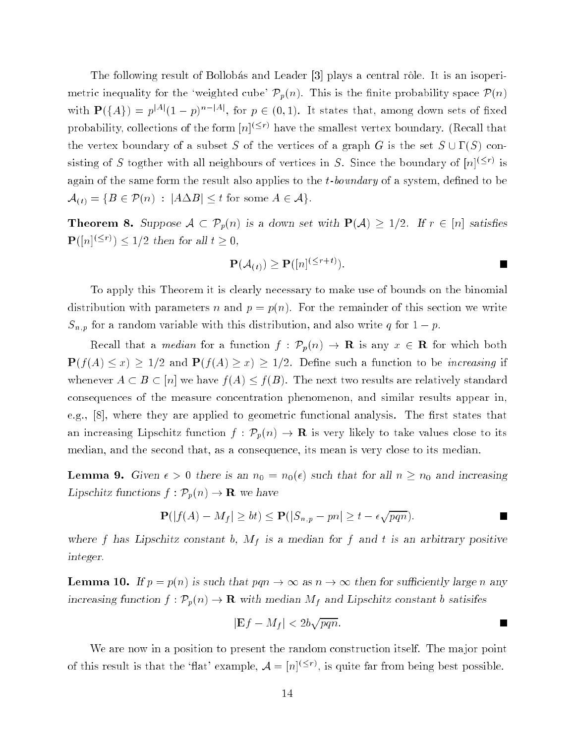The following result of Bollobas and Leader [3] plays a central rôle. It is an isoperimetric inequality for the 'weighted cube'  $\mathcal{P}_p(n)$ . This is the finite probability space  $\mathcal{P}(n)$ with  $\mathbf{P}(\{A\}) = p^{|A|}(1-p)^{n-|A|}$ , for  $p \in (0,1)$ . It states that, among down sets of fixed probability, collections of the form  $|n|^{(\leq r)}$  have the smallest vertex boundary. (Recall that the vertex boundary of a subset S of the vertices of a graph G is the set  $S \cup \Gamma(S)$  consisting of S togther with all neighbours of vertices in S. Since the boundary of  $|n|^{(\leq r)}$  is again of the same form the result also applies to the  $t$ -boundary of a system, defined to be  $\mathcal{A}_{(t)} = \{B \in \mathcal{P}(n) : |A \Delta B| \leq t \text{ for some } A \in \mathcal{A}\}.$ 

**Theorem 8.** Suppose  $A \subset \mathcal{P}_p(n)$  is a down set with  $\mathbf{P}(A) \geq 1/2$ . If  $r \in [n]$  satisfies  $\mathbf{P}([n]^{(\leq r)}) \leq 1/2$  then for all  $t \geq 0$ ,

$$
\mathbf{P}(\mathcal{A}_{(t)}) \ge \mathbf{P}([n]^{(\le r+t)}).
$$

To apply this Theorem it is clearly necessary to make use of bounds on the binomial distribution with parameters n and  $p = p(n)$ . For the remainder of this section we write  $S_{n,p}$  for a random variable with this distribution, and also write q for  $1-p$ .

Recall that a median for a function  $f : \mathcal{P}_p(n) \to \mathbf{R}$  is any  $x \in \mathbf{R}$  for which both  $P(f(A) \leq x) \geq 1/2$  and  $P(f(A) \geq x) \geq 1/2$ . Define such a function to be *increasing* if whenever  $A \subset B \subset [n]$  we have  $f(A) \leq f(B)$ . The next two results are relatively standard consequences of the measure concentration phenomenon, and similar results appear in, e.g.,  $[8]$ , where they are applied to geometric functional analysis. The first states that an increasing Lipschitz function  $f : \mathcal{P}_p(n) \to \mathbf{R}$  is very likely to take values close to its median, and the second that, as a consequence, its mean is very close to its median.

**Lemma 9.** Given  $\epsilon > 0$  there is an  $n_0 = n_0(\epsilon)$  such that for all  $n \geq n_0$  and increasing Lipschitz functions  $f : \mathcal{P}_p(n) \to \mathbf{R}$  we have

$$
\mathbf{P}(|f(A) - M_f| \ge bt) \le \mathbf{P}(|S_{n,p} - pn| \ge t - \epsilon \sqrt{pqn}).
$$

where f has Lipschitz constant b,  $M_f$  is a median for f and t is an arbitrary positive integer.

**Lemma 10.** If  $p = p(n)$  is such that  $pqn \to \infty$  as  $n \to \infty$  then for sufficiently large n any increasing function  $f: \mathcal{P}_p(n) \to \mathbf{R}$  with median  $M_f$  and Lipschitz constant b satisifes

$$
|\mathbf{E}f - M_f| < 2b\sqrt{pqn}.
$$

We are now in a position to present the random construction itself. The major point of this result is that the 'flat' example,  $\mathcal{A} = |n|^{(\leq r)}$ , is quite far from being best possible.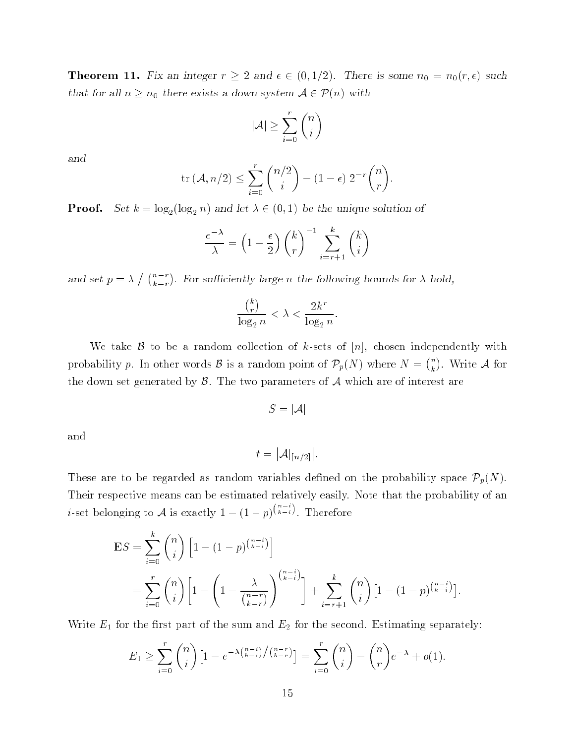**Theorem 11.** Fix an integer  $r \geq 2$  and  $\epsilon \in (0, 1/2)$ . There is some  $n_0 = n_0(r, \epsilon)$  such that for all  $n \geq n_0$  there exists a down system  $\mathcal{A} \in \mathcal{P}(n)$  with

$$
|\mathcal{A}| \ge \sum_{i=0}^r \binom{n}{i}
$$

and

$$
\operatorname{tr} (\mathcal{A}, n/2) \le \sum_{i=0}^r \binom{n/2}{i} - (1 - \epsilon) 2^{-r} \binom{n}{r}.
$$

**Proof.** Set  $k = \log_2(\log_2 n)$  and let  $\lambda \in (0, 1)$  be the unique solution of

$$
\frac{e^{-\lambda}}{\lambda} = \left(1 - \frac{\epsilon}{2}\right) \binom{k}{r}^{-1} \sum_{i=r+1}^{k} \binom{k}{i}
$$

and set  $p = \lambda / \binom{n-r}{k-r}$  $k-r$  . For sufficiently large n the following bounds for  $\lambda$  hold,

$$
\frac{{k \choose r}}{\log_2 n} < \lambda < \frac{2k^r}{\log_2 n}.
$$

We take  $\beta$  to be a random collection of k-sets of [n], chosen independently with probability p. In other words  $\mathcal{B}$  is a random point of  $\mathcal{P}_p(N)$  where  $N = \binom{n}{k}$  . Write A for the A formula of the A formula of the A formula of the A formula of the A formula of the A formula the down set generated by  $\beta$ . The two parameters of  $\mathcal A$  which are of interest are

$$
S=|\mathcal{A}|
$$

and

$$
t = |\mathcal{A}|_{[n/2]}|.
$$

These are to be regarded as random variables defined on the probability space  $\mathcal{P}_p(N)$ . Their respective means can be estimated relatively easily. Note that the probability of an *i*-set belonging to A is exactly  $1 - (1 - p)^{(\kappa - i)}$ . Therefore

$$
\mathbf{E}S = \sum_{i=0}^{k} {n \choose i} \left[ 1 - (1-p)^{\binom{n-i}{k-i}} \right]
$$
  
= 
$$
\sum_{i=0}^{r} {n \choose i} \left[ 1 - \left( 1 - \frac{\lambda}{\binom{n-r}{k-r}} \right)^{\binom{n-i}{k-i}} \right] + \sum_{i=r+1}^{k} {n \choose i} \left[ 1 - (1-p)^{\binom{n-i}{k-i}} \right]
$$

Write  $E_1$  for the first part of the sum and  $E_2$  for the second. Estimating separately:

$$
E_1 \geq \sum_{i=0}^r \binom{n}{i} \left[1 - e^{-\lambda \binom{n-i}{k-i}} / \binom{n-r}{k-r} \right] = \sum_{i=0}^r \binom{n}{i} - \binom{n}{r} e^{-\lambda} + o(1).
$$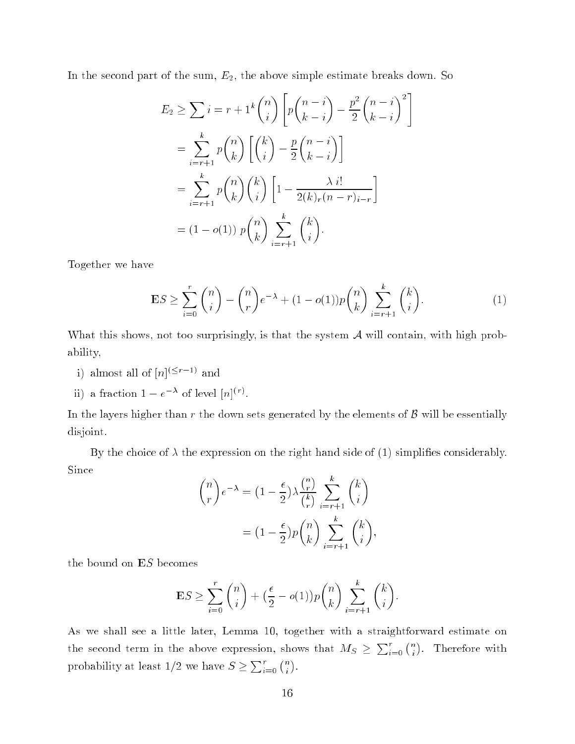In the second part of the sum,  $E_2$ , the above simple estimate breaks down. So

$$
E_2 \geq \sum_{i=r+1}^{n} i = r + 1^k \binom{n}{i} \left[ p \binom{n-i}{k-i} - \frac{p^2}{2} \binom{n-i}{k-i}^2 \right]
$$
  
= 
$$
\sum_{i=r+1}^{k} p \binom{n}{k} \left[ \binom{k}{i} - \frac{p}{2} \binom{n-i}{k-i} \right]
$$
  
= 
$$
\sum_{i=r+1}^{k} p \binom{n}{k} \binom{k}{i} \left[ 1 - \frac{\lambda i!}{2(k)_r (n-r)_{i-r}} \right]
$$
  
= 
$$
(1 - o(1)) p \binom{n}{k} \sum_{i=r+1}^{k} \binom{k}{i}.
$$

Together we have

$$
\mathbf{E}S \ge \sum_{i=0}^{r} \binom{n}{i} - \binom{n}{r} e^{-\lambda} + (1 - o(1))p \binom{n}{k} \sum_{i=r+1}^{k} \binom{k}{i}.
$$
 (1)

What this shows, not too surprisingly, is that the system  $A$  will contain, with high probability,

- i) almost all of  $|n| \leq r-1$  and
- ii) a fraction  $1 e^{-\lambda}$  of level  $[n]^{(r)}$ .

In the layers higher than r the down sets generated by the elements of  $\beta$  will be essentially disjoint.

By the choice of  $\lambda$  the expression on the right hand side of (1) simplifies considerably. Since

$$
\binom{n}{r} e^{-\lambda} = \left(1 - \frac{\epsilon}{2}\right) \lambda \frac{\binom{n}{r}}{\binom{k}{r}} \sum_{i=r+1}^{k} \binom{k}{i}
$$

$$
= \left(1 - \frac{\epsilon}{2}\right) p \binom{n}{k} \sum_{i=r+1}^{k} \binom{k}{i},
$$

the bound on ES becomes

$$
\mathbf{E}S \ge \sum_{i=0}^r \binom{n}{i} + \left(\frac{\epsilon}{2} - o(1)\right) p \binom{n}{k} \sum_{i=r+1}^k \binom{k}{i}.
$$

As we shall see a little later, Lemma 10, together with a straightforward estimate on the second term in the above expression, shows that  $M_S \geq \sum_{i=0}^r {n \choose i}$ . . probability at least  $1/2$  we have  $S \geq \sum_{i=0}^{r} {n \choose i}$  $\sim$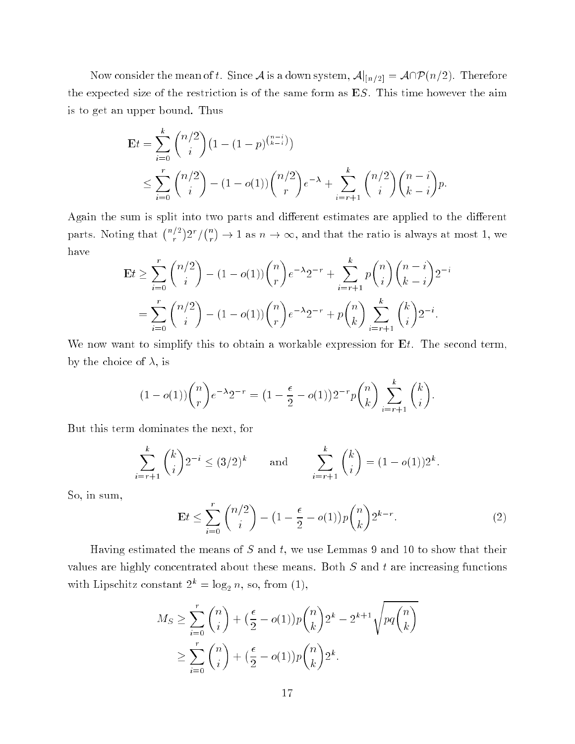Now consider the mean of t. Since A is a down system,  $\mathcal{A}|_{[n/2]} = \mathcal{A}\cap\mathcal{P}(n/2)$ . Therefore the expected size of the restriction is of the same form as ES. This time however the aim is to get an upper bound. Thus

$$
\mathbf{E}t = \sum_{i=0}^{k} {n/2 \choose i} (1 - (1-p)^{{n-i \choose k-i}}) \le \sum_{i=0}^{r} {n/2 \choose i} - (1 - o(1)) {n/2 \choose r} e^{-\lambda} + \sum_{i=r+1}^{k} {n/2 \choose i} {n-i \choose k-i} p.
$$

Again the sum is split into two parts and different estimates are applied to the different parts. Noting that  $\binom{n/2}{r}$   $2^r / \binom{n}{r}$ r  $) \rightarrow 1$  as  $n \rightarrow \infty$ , and that the ratio is always at most 1, we have

$$
\mathbf{E}t \ge \sum_{i=0}^{r} {n/2 \choose i} - (1 - o(1)) {n \choose r} e^{-\lambda} 2^{-r} + \sum_{i=r+1}^{k} p {n \choose i} {n-i \choose k-i} 2^{-i}
$$

$$
= \sum_{i=0}^{r} {n/2 \choose i} - (1 - o(1)) {n \choose r} e^{-\lambda} 2^{-r} + p {n \choose k} \sum_{i=r+1}^{k} {k \choose i} 2^{-i}.
$$

We now want to simplify this to obtain a workable expression for  $E_t$ . The second term, by the choice of  $\lambda$ , is

$$
(1 - o(1))\binom{n}{r}e^{-\lambda}2^{-r} = \left(1 - \frac{\epsilon}{2} - o(1)\right)2^{-r}p\binom{n}{k}\sum_{i=r+1}^{k}\binom{k}{i}.
$$

But this term dominates the next, for

$$
\sum_{i=r+1}^{k} {k \choose i} 2^{-i} \le (3/2)^k \quad \text{and} \quad \sum_{i=r+1}^{k} {k \choose i} = (1 - o(1))2^k.
$$

So, in sum,

$$
\mathbf{E}t \le \sum_{i=0}^{r} \binom{n/2}{i} - (1 - \frac{\epsilon}{2} - o(1))p \binom{n}{k} 2^{k-r}.\tag{2}
$$

Having estimated the means of  $S$  and  $t$ , we use Lemmas 9 and 10 to show that their values are highly concentrated about these means. Both  $S$  and  $t$  are increasing functions with Lipschitz constant  $2^k = \log_2 n$ , so, from (1),

$$
M_S \ge \sum_{i=0}^r \binom{n}{i} + \left(\frac{\epsilon}{2} - o(1)\right) p \binom{n}{k} 2^k - 2^{k+1} \sqrt{pq \binom{n}{k}}
$$

$$
\ge \sum_{i=0}^r \binom{n}{i} + \left(\frac{\epsilon}{2} - o(1)\right) p \binom{n}{k} 2^k.
$$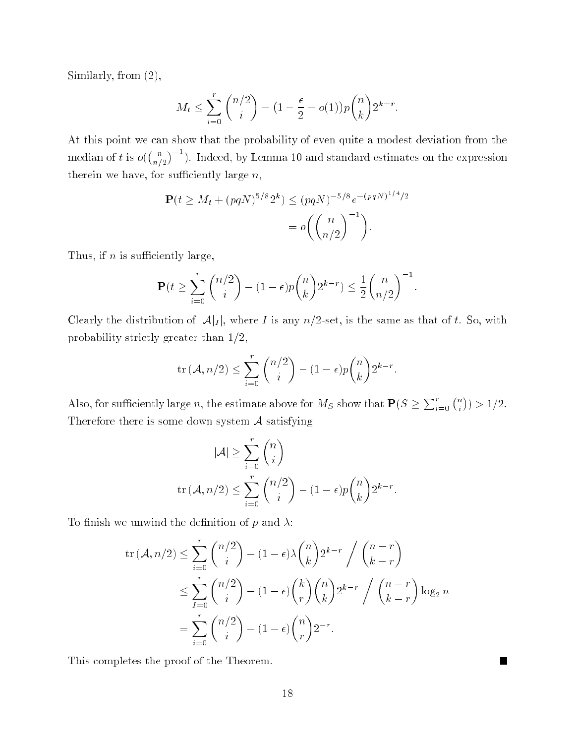Similarly, from (2),

$$
M_t \le \sum_{i=0}^r \binom{n/2}{i} - \left(1 - \frac{\epsilon}{2} - o(1)\right) p \binom{n}{k} 2^{k-r}
$$

At this point we can show that the probability of even quite a modest deviation from the median of t is  $o(\binom{n}{n/2}^{-1})$ . Indeed, by Lemma 10 and standard estimates on the expression therein we have, for sufficiently large  $n$ ,

$$
\mathbf{P}(t \ge M_t + (pqN)^{5/8} 2^k) \le (pqN)^{-5/8} e^{-(pqN)^{1/4}/2}
$$
  
=  $o\left(\binom{n}{n/2}^{-1}\right).$ 

Thus, if  $n$  is sufficiently large,

$$
\mathbf{P}(t \ge \sum_{i=0}^r \binom{n/2}{i} - (1-\epsilon)p\binom{n}{k} 2^{k-r} \le \frac{1}{2}\binom{n}{n/2}^{-1}.
$$

Clearly the distribution of  $|\mathcal{A}|_I$ , where I is any  $n/2$ -set, is the same as that of t. So, with probability strictly greater than  $1/2$ ,

$$
\text{tr}\left(\mathcal{A}, n/2\right) \le \sum_{i=0}^r \binom{n/2}{i} - (1-\epsilon)p \binom{n}{k} 2^{k-r}.
$$

Also, for sufficiently large n, the estimate above for  $M_S$  show that  $P(S \geq \sum_{i=0}^r {n \choose i}$  $)) > 1/2.$ Therefore there is some down system  $\mathcal A$  satisfying

$$
|\mathcal{A}| \ge \sum_{i=0}^r \binom{n}{i}
$$
  
tr  $(\mathcal{A}, n/2) \le \sum_{i=0}^r \binom{n/2}{i} - (1 - \epsilon)p \binom{n}{k} 2^{k-r}.$ 

To finish we unwind the definition of p and  $\lambda$ :

$$
\operatorname{tr} (\mathcal{A}, n/2) \le \sum_{i=0}^r \binom{n/2}{i} - (1 - \epsilon) \lambda \binom{n}{k} 2^{k-r} / \binom{n-r}{k-r}
$$
  

$$
\le \sum_{I=0}^r \binom{n/2}{i} - (1 - \epsilon) \binom{k}{r} \binom{n}{k} 2^{k-r} / \binom{n-r}{k-r} \log_2 n
$$
  

$$
= \sum_{i=0}^r \binom{n/2}{i} - (1 - \epsilon) \binom{n}{r} 2^{-r}.
$$

This completes the proof of the Theorem.

18

▉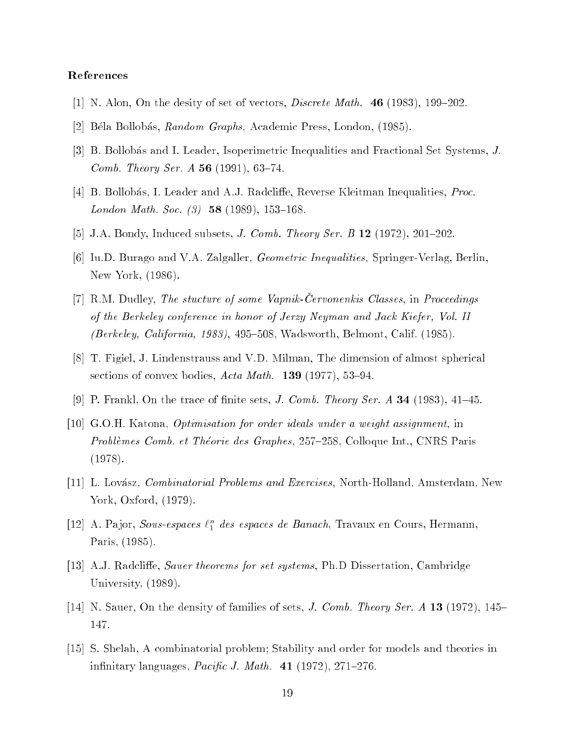### References

- [1] N. Alon, On the desity of set of vectors, *Discrete Math.* 46 (1983), 199–202.
- [2] Béla Bollobás, Random Graphs, Academic Press, London, (1985).
- [3] B. Bollobás and I. Leader, Isoperimetric Inequalities and Fractional Set Systems, J. *Comb. Theory Ser. A* 56 (1991), 63-74.
- [4] B. Bollobás, I. Leader and A.J. Radcliffe, Reverse Kleitman Inequalities, *Proc.* London Math. Soc.  $(3)$  58 (1989), 153-168.
- [5] J.A. Bondy, Induced subsets, *J. Comb. Theory Ser. B* 12 (1972), 201–202.
- [6] Iu.D. Burago and V.A. Zalgaller, Geometric Inequalities, Springer-Verlag, Berlin, New York, (1986).
- [7] R.M. Dudley, The stucture of some Vapnik-Cervonenkis Classes, in Proceedings of the Berkeley conference in honor of Jerzy Neyman and Jack Kiefer, Vol. II (Berkeley, California, 1983), 495-508, Wadsworth, Belmont, Calif. (1985).
- [8] T. Figiel, J. Lindenstrauss and V.D. Milman, The dimension of almost spherical sections of convex bodies,  $Acta \text{ } Math.$  **139** (1977), 53-94.
- [9] P. Frankl, On the trace of finite sets, *J. Comb. Theory Ser. A* **34** (1983), 41–45.
- [10] G.O.H. Katona, Optimisation for order ideals under a weight assignment, in Problèmes Comb. et Théorie des Graphes, 257-258, Colloque Int., CNRS Paris (1978).
- [11] L. Lovász, *Combinatorial Problems and Exercises*, North-Holland, Amsterdam, New York, Oxford, (1979).
- [12] A. Pajor, Sous-espaces  $\ell_1^n$  des espaces de Banach, Travaux en Cours, Hermann,  $\overline{\phantom{a}}$ Paris, (1985).
- [13] A.J. Radcliffe, *Sauer theorems for set systems*, Ph.D Dissertation, Cambridge University, (1989).
- [14] N. Sauer, On the density of families of sets, *J. Comb. Theory Ser. A* 13 (1972), 145– 147.
- [15] S. Shelah, A combinatorial problem; Stability and order for models and theories in infinitary languages,  $Pacific J. Math. 41 (1972), 271–276.$